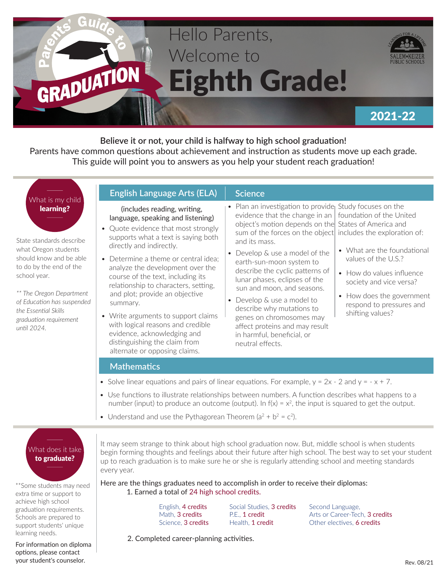

**Believe it or not, your child is halfway to high school graduation!**  Parents have common questions about achievement and instruction as students move up each grade. This guide will point you to answers as you help your student reach graduation!

# What is my child learning?

State standards describe what Oregon students should know and be able to do by the end of the school year.

*\*\* The Oregon Department of Education has suspended the Essential Skills graduation requirement until 2024.*

| <b>English Language Arts (ELA)</b>                                                                                                                                                                  | <b>Science</b>                                                                                                                                                                                                                                                  |                                                                             |
|-----------------------------------------------------------------------------------------------------------------------------------------------------------------------------------------------------|-----------------------------------------------------------------------------------------------------------------------------------------------------------------------------------------------------------------------------------------------------------------|-----------------------------------------------------------------------------|
| (includes reading, writing,<br>language, speaking and listening)<br>• Quote evidence that most strongly<br>supports what a text is saying both<br>directly and indirectly.                          | • Plan an investigation to provide Study focuses on the<br>evidence that the change in an $\vert$ foundation of the United<br>object's motion depends on the States of America and<br>sum of the forces on the object includes the exploration<br>and its mass. |                                                                             |
| • Determine a theme or central idea;<br>analyze the development over the<br>course of the text, including its<br>relationship to characters, setting,<br>and plot; provide an objective<br>summary. | • Develop & use a model of the<br>earth-sun-moon system to<br>describe the cyclic patterns of                                                                                                                                                                   | • What are the foundati<br>values of the U.S.?<br>• How do values influen   |
|                                                                                                                                                                                                     | lunar phases, eclipses of the<br>sun and moon, and seasons.<br>• Develop & use a model to                                                                                                                                                                       | society and vice versa?<br>• How does the governr<br>respond to pressures a |

- Write arguments to support claims with logical reasons and credible evidence, acknowledging and distinguishing the claim from alternate or opposing claims.
- describe why mutations to genes on chromosomes may affect proteins and may result in harmful, beneficial, or
- foundation of the United includes the exploration of:
	- What are the foundational
	- How do values influence society and vice versa?
- ment respond to pressures and shifting values?

### **Mathematics**

- Solve linear equations and pairs of linear equations. For example,  $y = 2x 2$  and  $y = -x + 7$ .
- Use functions to illustrate relationships between numbers. A function describes what happens to a number (input) to produce an outcome (output). In  $f(x) = x^2$ , the input is squared to get the output.

neutral effects.

• Understand and use the Pythagorean Theorem  $(a^2 + b^2 = c^2)$ .

# What does it take to graduate?

\*\*Some students may need extra time or support to achieve high school graduation requirements. Schools are prepared to support students' unique learning needs.

For information on diploma options, please contact your student's counselor.

It may seem strange to think about high school graduation now. But, middle school is when students begin forming thoughts and feelings about their future after high school. The best way to set your student up to reach graduation is to make sure he or she is regularly attending school and meeting standards every year.

Here are the things graduates need to accomplish in order to receive their diplomas: 1. Earned a total of 24 high school credits.

> English, 4 credits Math, 3 credits Science, 3 credits

Social Studies, 3 credits P.E., 1 credit Health, 1 credit

Second Language, Arts or Career-Tech, 3 credits Other electives, 6 credits

2. Completed career-planning activities.